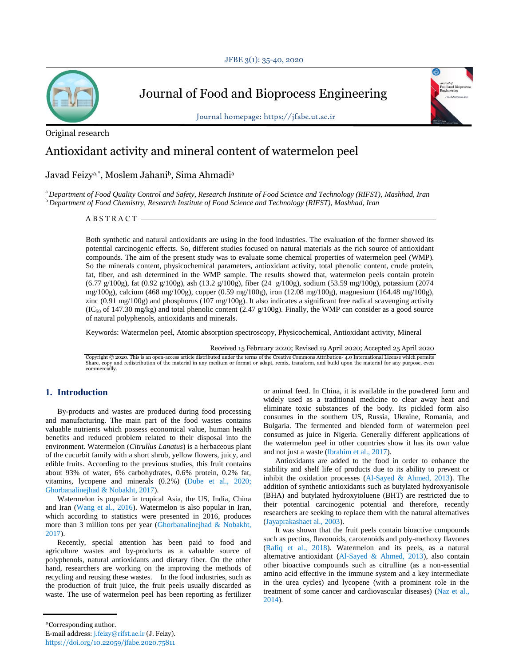

Journal of Food and Bioprocess Engineering

Journal homepage: https://jfabe.ut.ac.ir



# Original research

# Antioxidant activity and mineral content of watermelon peel

# Javad Feizya,\* , Moslem Jahani<sup>b</sup> , Sima Ahmadi<sup>a</sup>

<sup>a</sup>*Department of Food Quality Control and Safety, Research Institute of Food Science and Technology (RIFST), Mashhad, Iran* <sup>b</sup>*Department of Food Chemistry, Research Institute of Food Science and Technology (RIFST), Mashhad, Iran*

 $ABSTRACT$  -

Both synthetic and natural antioxidants are using in the food industries. The evaluation of the former showed its potential carcinogenic effects. So, different studies focused on natural materials as the rich source of antioxidant compounds. The aim of the present study was to evaluate some chemical properties of watermelon peel (WMP). So the minerals content, physicochemical parameters, antioxidant activity, total phenolic content, crude protein, fat, fiber, and ash determined in the WMP sample. The results showed that, watermelon peels contain protein (6.77 g/100g), fat (0.92 g/100g), ash (13.2 g/100g), fiber (24 g/100g), sodium (53.59 mg/100g), potassium (2074 mg/100g), calcium (468 mg/100g), copper (0.59 mg/100g), iron (12.08 mg/100g), magnesium (164.48 mg/100g), zinc (0.91 mg/100g) and phosphorus (107 mg/100g). It also indicates a significant free radical scavenging activity  $(IC<sub>50</sub>$  of 147.30 mg/kg) and total phenolic content (2.47 g/100g). Finally, the WMP can consider as a good source of natural polyphenols, antioxidants and minerals.

Keywords: Watermelon peel, Atomic absorption spectroscopy, Physicochemical, Antioxidant activity, Mineral

Received 15 February 2020; Revised 19 April 2020; Accepted 25 April 2020

Copyright © 2020. This is an open-access article distributed under the terms of the Creative Commons Attribution- 4.0 International License which permits Share, copy and redistribution of the material in any medium or format or adapt, remix, transform, and build upon the material for any purpose, even commercially.

# **1. Introduction**

By-products and wastes are produced during food processing and manufacturing. The main part of the food wastes contains valuable nutrients which possess economical value, human health benefits and reduced problem related to their disposal into the environment. Watermelon (*Citrullus Lanatus*) is a herbaceous plant of the cucurbit family with a short shrub, yellow flowers, juicy, and edible fruits. According to the previous studies, this fruit contains about 93% of water, 6% carbohydrates, 0.6% protein, 0.2% fat, vitamins, lycopene and minerals (0.2%) (Dube et al., 2020; Ghorbanalinejhad & Nobakht, 2017).

Watermelon is popular in tropical Asia, the US, India, China and Iran (Wang et al., 2016). Watermelon is also popular in Iran, which according to statistics were presented in 2016, produces more than 3 million tons per year (Ghorbanalinejhad & Nobakht, 2017).

Recently, special attention has been paid to food and agriculture wastes and by-products as a valuable source of polyphenols, natural antioxidants and dietary fiber. On the other hand, researchers are working on the improving the methods of recycling and reusing these wastes. In the food industries, such as the production of fruit juice, the fruit peels usually discarded as waste. The use of watermelon peel has been reporting as fertilizer

or animal feed. In China, it is available in the powdered form and widely used as a traditional medicine to clear away heat and eliminate toxic substances of the body. Its pickled form also consumes in the southern US, Russia, Ukraine, Romania, and Bulgaria. The fermented and blended form of watermelon peel consumed as juice in Nigeria. Generally different applications of the watermelon peel in other countries show it has its own value and not just a waste (Ibrahim et al., 2017).

Antioxidants are added to the food in order to enhance the stability and shelf life of products due to its ability to prevent or inhibit the oxidation processes (Al-Sayed & Ahmed, 2013). The addition of synthetic antioxidants such as butylated hydroxyanisole (BHA) and butylated hydroxytoluene (BHT) are restricted due to their potential carcinogenic potential and therefore, recently researchers are seeking to replace them with the natural alternatives (Jayaprakashaet al., 2003).

It was shown that the fruit peels contain bioactive compounds such as pectins, flavonoids, carotenoids and poly-methoxy flavones (Rafiq et al., 2018). Watermelon and its peels, as a natural alternative antioxidant (Al-Sayed & Ahmed, 2013), also contain other bioactive compounds such as citrulline (as a non-essential amino acid effective in the immune system and a key intermediate in the urea cycles) and lycopene (with a prominent role in the treatment of some cancer and cardiovascular diseases) (Naz et al., 2014).

<sup>\*</sup>Corresponding author.

E-mail address: j.feizy@rifst.ac.ir (J. Feizy). https://doi.org/10.22059/jfabe.2020.75811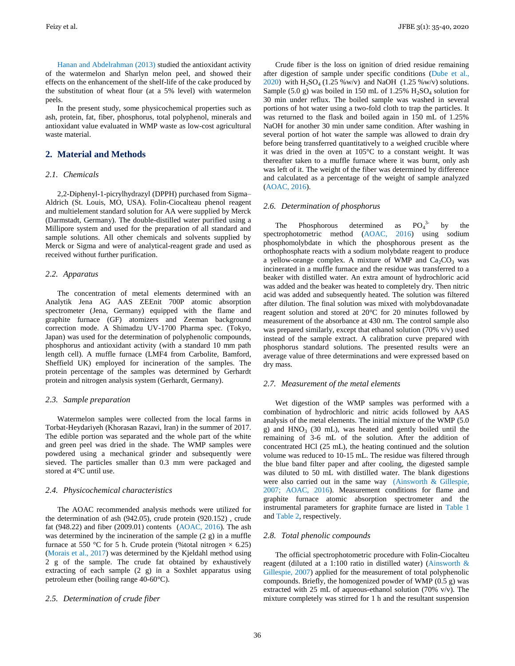Hanan and Abdelrahman (2013) studied the antioxidant activity of the watermelon and Sharlyn melon peel, and showed their effects on the enhancement of the shelf-life of the cake produced by the substitution of wheat flour (at a 5% level) with watermelon peels.

In the present study, some physicochemical properties such as ash, protein, fat, fiber, phosphorus, total polyphenol, minerals and antioxidant value evaluated in WMP waste as low-cost agricultural waste material.

# **2. Material and Methods**

#### *2.1. Chemicals*

2,2-Diphenyl-1-picrylhydrazyl (DPPH) purchased from Sigma– Aldrich (St. Louis, MO, USA). Folin-Ciocalteau phenol reagent and multielement standard solution for AA were supplied by Merck (Darmstadt, Germany). The double-distilled water purified using a Millipore system and used for the preparation of all standard and sample solutions. All other chemicals and solvents supplied by Merck or Sigma and were of analytical-reagent grade and used as received without further purification.

# *2.2. Apparatus*

The concentration of metal elements determined with an Analytik Jena AG AAS ZEEnit 700P atomic absorption spectrometer (Jena, Germany) equipped with the flame and graphite furnace (GF) atomizers and Zeeman background correction mode. A Shimadzu UV-1700 Pharma spec. (Tokyo, Japan) was used for the determination of polyphenolic compounds, phosphorus and antioxidant activity (with a standard 10 mm path length cell). A muffle furnace (LMF4 from Carbolite, Bamford, Sheffield UK) employed for incineration of the samples. The protein percentage of the samples was determined by Gerhardt protein and nitrogen analysis system (Gerhardt, Germany).

#### *2.3. Sample preparation*

Watermelon samples were collected from the local farms in Torbat-Heydariyeh (Khorasan Razavi, Iran) in the summer of 2017. The edible portion was separated and the whole part of the white and green peel was dried in the shade. The WMP samples were powdered using a mechanical grinder and subsequently were sieved. The particles smaller than 0.3 mm were packaged and stored at 4°C until use.

#### *2.4. Physicochemical characteristics*

The AOAC recommended analysis methods were utilized for the determination of ash (942.05), crude protein (920.152) , crude fat (948.22) and fiber (2009.01) contents (AOAC, 2016). The ash was determined by the incineration of the sample (2 g) in a muffle furnace at 550 °C for 5 h. Crude protein (%total nitrogen  $\times$  6.25) (Morais et al., 2017) was determined by the Kjeldahl method using 2 g of the sample. The crude fat obtained by exhaustively extracting of each sample (2 g) in a Soxhlet apparatus using petroleum ether (boiling range 40-60°C).

#### *2.5. Determination of crude fiber*

Crude fiber is the loss on ignition of dried residue remaining after digestion of sample under specific conditions (Dube et al., 2020) with  $H_2SO_4 (1.25 \text{ %} w/v)$  and NaOH  $(1.25 \text{ %} w/v)$  solutions. Sample (5.0 g) was boiled in 150 mL of 1.25%  $H_2SO_4$  solution for 30 min under reflux. The boiled sample was washed in several portions of hot water using a two-fold cloth to trap the particles. It was returned to the flask and boiled again in 150 mL of 1.25% NaOH for another 30 min under same condition. After washing in several portion of hot water the sample was allowed to drain dry before being transferred quantitatively to a weighed crucible where it was dried in the oven at 105°C to a constant weight. It was thereafter taken to a muffle furnace where it was burnt, only ash was left of it. The weight of the fiber was determined by difference and calculated as a percentage of the weight of sample analyzed (AOAC, 2016).

#### *2.6. Determination of phosphorus*

The Phosphorous determined as  $PO<sub>4</sub><sup>3</sup>$ by the spectrophotometric method (AOAC, 2016) using sodium phosphomolybdate in which the phosphorous present as the orthophosphate reacts with a sodium molybdate reagent to produce a yellow-orange complex. A mixture of WMP and  $Ca<sub>2</sub>CO<sub>3</sub>$  was incinerated in a muffle furnace and the residue was transferred to a beaker with distilled water. An extra amount of hydrochloric acid was added and the beaker was heated to completely dry. Then nitric acid was added and subsequently heated. The solution was filtered after dilution. The final solution was mixed with molybdovanadate reagent solution and stored at 20°C for 20 minutes followed by measurement of the absorbance at 430 nm. The control sample also was prepared similarly, except that ethanol solution (70% v/v) used instead of the sample extract. A calibration curve prepared with phosphorus standard solutions. The presented results were an average value of three determinations and were expressed based on dry mass.

## *2.7. Measurement of the metal elements*

Wet digestion of the WMP samples was performed with a combination of hydrochloric and nitric acids followed by AAS analysis of the metal elements. The initial mixture of the WMP (5.0 g) and HNO<sub>3</sub> (30 mL), was heated and gently boiled until the remaining of 3-6 mL of the solution. After the addition of concentrated HCl (25 mL), the heating continued and the solution volume was reduced to 10-15 mL. The residue was filtered through the blue band filter paper and after cooling, the digested sample was diluted to 50 mL with distilled water. The blank digestions were also carried out in the same way (Ainsworth & Gillespie, 2007; AOAC, 2016). Measurement conditions for flame and graphite furnace atomic absorption spectrometer and the instrumental parameters for graphite furnace are listed in Table 1 and Table 2, respectively.

#### *2.8. Total phenolic compounds*

The official spectrophotometric procedure with Folin-Ciocalteu reagent (diluted at a 1:100 ratio in distilled water) (Ainsworth & Gillespie, 2007) applied for the measurement of total polyphenolic compounds. Briefly, the homogenized powder of WMP (0.5 g) was extracted with 25 mL of aqueous-ethanol solution (70% v/v). The mixture completely was stirred for 1 h and the resultant suspension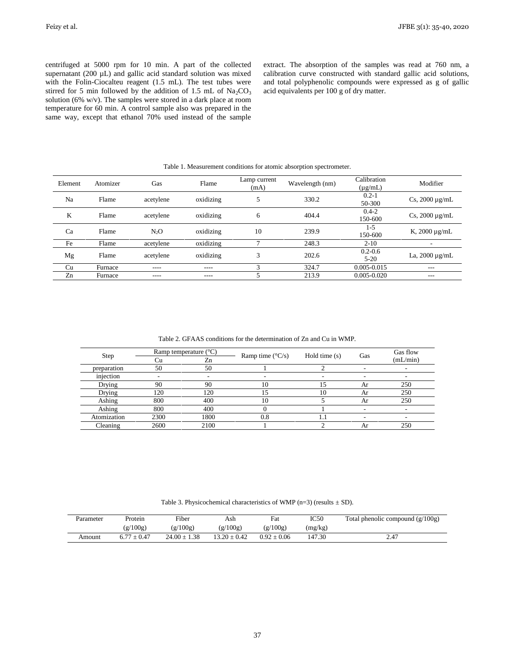centrifuged at 5000 rpm for 10 min. A part of the collected supernatant (200 µL) and gallic acid standard solution was mixed with the Folin-Ciocalteu reagent (1.5 mL). The test tubes were stirred for 5 min followed by the addition of 1.5 mL of  $Na<sub>2</sub>CO<sub>3</sub>$ solution (6% w/v). The samples were stored in a dark place at room temperature for 60 min. A control sample also was prepared in the same way, except that ethanol 70% used instead of the sample extract. The absorption of the samples was read at 760 nm, a calibration curve constructed with standard gallic acid solutions, and total polyphenolic compounds were expressed as g of gallic acid equivalents per 100 g of dry matter.

| Table 1. Measurement conditions for atomic absorption spectrometer. |          |           |           |                      |                 |                             |                     |
|---------------------------------------------------------------------|----------|-----------|-----------|----------------------|-----------------|-----------------------------|---------------------|
| Element                                                             | Atomizer | Gas       | Flame     | Lamp current<br>(mA) | Wavelength (nm) | Calibration<br>$(\mu g/mL)$ | Modifier            |
| Na                                                                  | Flame    | acetylene | oxidizing | 5                    | 330.2           | $0.2 - 1$<br>50-300         | Cs, $2000 \mu g/mL$ |
| K                                                                   | Flame    | acetylene | oxidizing | 6                    | 404.4           | $0.4 - 2$<br>150-600        | Cs, $2000 \mu g/mL$ |
| Ca                                                                  | Flame    | $N_2O$    | oxidizing | 10                   | 239.9           | $1-5$<br>150-600            | K, $2000 \mu g/mL$  |
| Fe                                                                  | Flame    | acetylene | oxidizing |                      | 248.3           | $2 - 10$                    |                     |
| Mg                                                                  | Flame    | acetylene | oxidizing | 3                    | 202.6           | $0.2 - 0.6$<br>$5 - 20$     | La, $2000 \mu g/mL$ |
| Cu                                                                  | Furnace  | ----      | ----      | 3                    | 324.7           | $0.005 - 0.015$             | ---                 |
| Zn                                                                  | Furnace  | ----      | ----      |                      | 213.9           | $0.005 - 0.020$             | ---                 |

Table 1. Measurement conditions for atomic absorption spectrometer.

Table 2. GFAAS conditions for the determination of Zn and Cu in WMP.

| Step        | Ramp temperature $(^{\circ}C)$ |      | Ramp time $(^{\circ}C/s)$ | Hold time $(s)$ | Gas | Gas flow |
|-------------|--------------------------------|------|---------------------------|-----------------|-----|----------|
|             | Zn                             |      |                           |                 |     | (mL/min) |
| preparation | 50                             | 50   |                           |                 |     |          |
| injection   |                                |      |                           |                 |     |          |
| Drying      | 90                             | 90   | 10                        |                 | Ar  | 250      |
| Drying      | 120                            | 120  |                           | 10              | Ar  | 250      |
| Ashing      | 800                            | 400  | 10                        |                 | Ar  | 250      |
| Ashing      | 800                            | 400  |                           |                 |     |          |
| Atomization | 2300                           | 1800 | 0.8                       | $\overline{a}$  |     |          |
| Cleaning    | 2600                           | 2100 |                           |                 | Ar  | 250      |

Table 3. Physicochemical characteristics of WMP (n=3) (results  $\pm$  SD).

| Parameter | Protein  | Fiber            | Ash              | Fat           | IC50    | Total phenolic compound $(g/100g)$ |
|-----------|----------|------------------|------------------|---------------|---------|------------------------------------|
|           | (g/100g) | (g/100g)         | (g/100g)         | (g/100g)      | (mg/kg) |                                    |
| Amount    | $+0.47$  | $24.00 \pm 1.38$ | $13.20 \pm 0.42$ | $0.92 + 0.06$ | 147.30  | 2.47                               |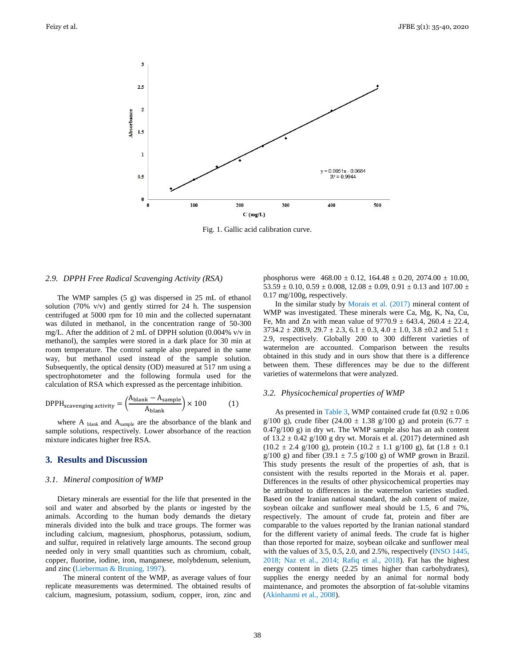

Fig. 1. Gallic acid calibration curve.

#### *2.9. DPPH Free Radical Scavenging Activity (RSA)*

The WMP samples (5 g) was dispersed in 25 mL of ethanol solution (70% v/v) and gently stirred for 24 h. The suspension centrifuged at 5000 rpm for 10 min and the collected supernatant was diluted in methanol, in the concentration range of 50-300 mg/L. After the addition of 2 mL of DPPH solution (0.004% v/v in methanol), the samples were stored in a dark place for 30 min at room temperature. The control sample also prepared in the same way, but methanol used instead of the sample solution. Subsequently, the optical density (OD) measured at 517 nm using a spectrophotometer and the following formula used for the calculation of RSA which expressed as the percentage inhibition.

$$
DPPH_{scavenging activity} = \left(\frac{A_{blank} - A_{sample}}{A_{blank}}\right) \times 100
$$
 (1)

where A  $_{\text{blank}}$  and  $A_{\text{sample}}$  are the absorbance of the blank and sample solutions, respectively. Lower absorbance of the reaction mixture indicates higher free RSA.

## **3. Results and Discussion**

#### *3.1. Mineral composition of WMP*

Dietary minerals are essential for the life that presented in the soil and water and absorbed by the plants or ingested by the animals. According to the human body demands the dietary minerals divided into the bulk and trace groups. The former was including calcium, magnesium, phosphorus, potassium, sodium, and sulfur, required in relatively large amounts. The second group needed only in very small quantities such as chromium, cobalt, copper, fluorine, iodine, iron, manganese, molybdenum, selenium, and zinc (Lieberman & Bruning, 1997).

 The mineral content of the WMP, as average values of four replicate measurements was determined. The obtained results of calcium, magnesium, potassium, sodium, copper, iron, zinc and

phosphorus were  $468.00 \pm 0.12$ ,  $164.48 \pm 0.20$ ,  $2074.00 \pm 10.00$ ,  $53.59 \pm 0.10$ ,  $0.59 \pm 0.008$ ,  $12.08 \pm 0.09$ ,  $0.91 \pm 0.13$  and  $107.00 \pm 0.00$ 0.17 mg/100g, respectively.

In the similar study by Morais et al. (2017) mineral content of WMP was investigated. These minerals were Ca, Mg, K, Na, Cu, Fe, Mn and Zn with mean value of  $9770.9 \pm 643.4$ ,  $260.4 \pm 22.4$ ,  $3734.2 \pm 208.9$ ,  $29.7 \pm 2.3$ ,  $6.1 \pm 0.3$ ,  $4.0 \pm 1.0$ ,  $3.8 \pm 0.2$  and  $5.1 \pm 0.2$ 2.9, respectively. Globally 200 to 300 different varieties of watermelon are accounted. Comparison between the results obtained in this study and in ours show that there is a difference between them. These differences may be due to the different varieties of watermelons that were analyzed.

# *3.2. Physicochemical properties of WMP*

As presented in Table 3, WMP contained crude fat  $(0.92 \pm 0.06$ g/100 g), crude fiber (24.00  $\pm$  1.38 g/100 g) and protein (6.77  $\pm$ 0.47g/100 g) in dry wt. The WMP sample also has an ash content of  $13.2 \pm 0.42$  g/100 g dry wt. Morais et al. (2017) determined ash  $(10.2 \pm 2.4 \text{ g}/100 \text{ g})$ , protein  $(10.2 \pm 1.1 \text{ g}/100 \text{ g})$ , fat  $(1.8 \pm 0.1 \text{ g})$  $g/100$  g) and fiber (39.1  $\pm$  7.5 g/100 g) of WMP grown in Brazil. This study presents the result of the properties of ash, that is consistent with the results reported in the Morais et al. paper. Differences in the results of other physicochemical properties may be attributed to differences in the watermelon varieties studied. Based on the Iranian national standard, the ash content of maize, soybean oilcake and sunflower meal should be 1.5, 6 and 7%, respectively. The amount of crude fat, protein and fiber are comparable to the values reported by the Iranian national standard for the different variety of animal feeds. The crude fat is higher than those reported for maize, soybean oilcake and sunflower meal with the values of 3.5, 0.5, 2.0, and 2.5%, respectively (INSO 1445, 2018; Naz et al., 2014; Rafiq et al., 2018). Fat has the highest energy content in diets (2.25 times higher than carbohydrates), supplies the energy needed by an animal for normal body maintenance, and promotes the absorption of fat-soluble vitamins (Akinhanmi et al., 2008).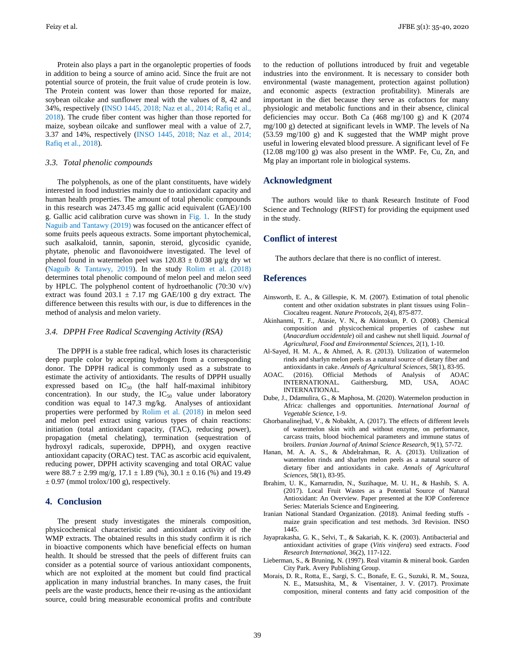Protein also plays a part in the organoleptic properties of foods in addition to being a source of amino acid. Since the fruit are not potential source of protein, the fruit value of crude protein is low. The Protein content was lower than those reported for maize, soybean oilcake and sunflower meal with the values of 8, 42 and 34%, respectively (INSO 1445, 2018; Naz et al., 2014; Rafiq et al., 2018). The crude fiber content was higher than those reported for maize, soybean oilcake and sunflower meal with a value of 2.7, 3.37 and 14%, respectively (INSO 1445, 2018; Naz et al., 2014; Rafiq et al., 2018).

## *3.3. Total phenolic compounds*

The polyphenols, as one of the plant constituents, have widely interested in food industries mainly due to antioxidant capacity and human health properties. The amount of total phenolic compounds in this research was 2473.45 mg gallic acid equivalent (GAE)/100 g. Gallic acid calibration curve was shown in Fig. 1. In the study Naguib and Tantawy (2019) was focused on the anticancer effect of some fruits peels aqueous extracts. Some important phytochemical, such asalkaloid, tannin, saponin, steroid, glycosidic cyanide, phytate, phenolic and flavonoidwere investigated. The level of phenol found in watermelon peel was  $120.83 \pm 0.038$  µg/g dry wt (Naguib & Tantawy, 2019). In the study Rolim et al. (2018) determines total phenolic compound of melon peel and melon seed by HPLC. The polyphenol content of hydroethanolic (70:30 v/v) extract was found 203.1  $\pm$  7.17 mg GAE/100 g dry extract. The difference between this results with our, is due to differences in the method of analysis and melon variety.

#### *3.4. DPPH Free Radical Scavenging Activity (RSA)*

The DPPH is a stable free radical, which loses its characteristic deep purple color by accepting hydrogen from a corresponding donor. The DPPH radical is commonly used as a substrate to estimate the activity of antioxidants. The results of DPPH usually expressed based on  $IC_{50}$  (the half half-maximal inhibitory concentration). In our study, the  $IC_{50}$  value under laboratory condition was equal to 147.3 mg/kg. Analyses of antioxidant properties were performed by Rolim et al. (2018) in melon seed and melon peel extract using various types of chain reactions: initiation (total antioxidant capacity, (TAC), reducing power), propagation (metal chelating), termination (sequestration of hydroxyl radicals, superoxide, DPPH), and oxygen reactive antioxidant capacity (ORAC) test. TAC as ascorbic acid equivalent, reducing power, DPPH activity scavenging and total ORAC value were  $88.7 \pm 2.99$  mg/g,  $17.1 \pm 1.89$  (%),  $30.1 \pm 0.16$  (%) and 19.49  $\pm$  0.97 (mmol trolox/100 g), respectively.

## **4. Conclusion**

The present study investigates the minerals composition, physicochemical characteristic and antioxidant activity of the WMP extracts. The obtained results in this study confirm it is rich in bioactive components which have beneficial effects on human health. It should be stressed that the peels of different fruits can consider as a potential source of various antioxidant components, which are not exploited at the moment but could find practical application in many industrial branches. In many cases, the fruit peels are the waste products, hence their re-using as the antioxidant source, could bring measurable economical profits and contribute

to the reduction of pollutions introduced by fruit and vegetable industries into the environment. It is necessary to consider both environmental (waste management, protection against pollution) and economic aspects (extraction profitability). Minerals are important in the diet because they serve as cofactors for many physiologic and metabolic functions and in their absence, clinical deficiencies may occur. Both Ca (468 mg/100 g) and K (2074 mg/100 g) detected at significant levels in WMP. The levels of Na (53.59 mg/100 g) and K suggested that the WMP might prove useful in lowering elevated blood pressure. A significant level of Fe (12.08 mg/100 g) was also present in the WMP. Fe, Cu, Zn, and Mg play an important role in biological systems.

# **Acknowledgment**

The authors would like to thank Research Institute of Food Science and Technology (RIFST) for providing the equipment used in the study.

# **Conflict of interest**

The authors declare that there is no conflict of interest.

# **References**

- Ainsworth, E. A., & Gillespie, K. M. (2007). Estimation of total phenolic content and other oxidation substrates in plant tissues using Folin– Ciocalteu reagent. *Nature Protocols*, 2(4), 875-877.
- Akinhanmi, T. F., Atasie, V. N., & Akintokun, P. O. (2008). Chemical composition and physicochemical properties of cashew nut (*Anacardium occidentale*) oil and cashew nut shell liquid. *Journal of Agricultural, Food and Environmental Sciences*, 2(1), 1-10.
- Al-Sayed, H. M. A., & Ahmed, A. R. (2013). Utilization of watermelon rinds and sharlyn melon peels as a natural source of dietary fiber and antioxidants in cake. *Annals of Agricultural Sciences*, 58(1), 83-95.
- AOAC. (2016). Official Methods of Analysis of AOAC INTERNATIONAL. Gaithersburg, MD, USA, AOAC INTERNATIONAL.
- Dube, J., Ddamulira, G., & Maphosa, M. (2020). Watermelon production in Africa: challenges and opportunities. *International Journal of Vegetable Science*, 1-9.
- Ghorbanalinejhad, V., & Nobakht, A. (2017). The effects of different levels of watermelon skin with and without enzyme, on performance, carcass traits, blood biochemical parameters and immune status of broilers. *Iranian Journal of Animal Science Research*, 9(1), 57-72.
- Hanan, M. A. A. S., & Abdelrahman, R. A. (2013). Utilization of watermelon rinds and sharlyn melon peels as a natural source of dietary fiber and antioxidants in cake. *Annals of Agricultural Sciences*, 58(1), 83-95.
- Ibrahim, U. K., Kamarrudin, N., Suzihaque, M. U. H., & Hashib, S. A. (2017). Local Fruit Wastes as a Potential Source of Natural Antioxidant: An Overview. Paper presented at the IOP Conference Series: Materials Science and Engineering.
- Iranian National Standard Organization. (2018). Animal feeding stuffs maize grain specification and test methods. 3rd Revision. INSO 1445.
- Jayaprakasha, G. K., Selvi, T., & Sakariah, K. K. (2003). Antibacterial and antioxidant activities of grape (*Vitis vinifera*) seed extracts. *Food Research International*, 36(2), 117-122.
- Lieberman, S., & Bruning, N. (1997). Real vitamin & mineral book. Garden City Park. Avery Publishing Group.
- Morais, D. R., Rotta, E., Sargi, S. C., Bonafe, E. G., Suzuki, R. M., Souza, N. E., Matsushita, M., & Visentainer, J. V. (2017). Proximate composition, mineral contents and fatty acid composition of the